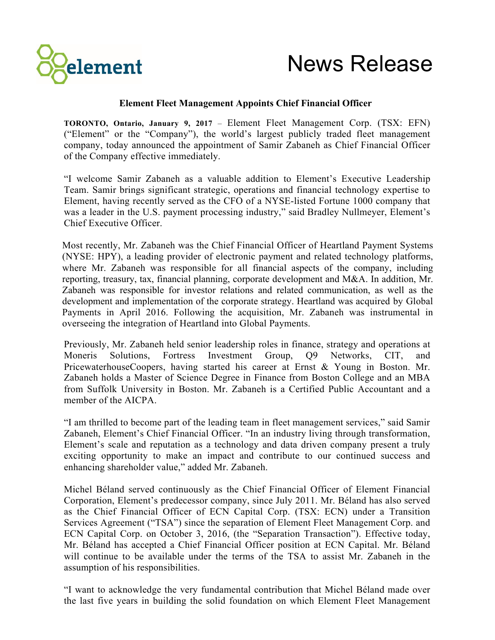



## **Element Fleet Management Appoints Chief Financial Officer**

**TORONTO, Ontario, January 9, 2017** – Element Fleet Management Corp. (TSX: EFN) ("Element" or the "Company"), the world's largest publicly traded fleet management company, today announced the appointment of Samir Zabaneh as Chief Financial Officer of the Company effective immediately.

"I welcome Samir Zabaneh as a valuable addition to Element's Executive Leadership Team. Samir brings significant strategic, operations and financial technology expertise to Element, having recently served as the CFO of a NYSE-listed Fortune 1000 company that was a leader in the U.S. payment processing industry," said Bradley Nullmeyer, Element's Chief Executive Officer.

Most recently, Mr. Zabaneh was the Chief Financial Officer of Heartland Payment Systems (NYSE: HPY), a leading provider of electronic payment and related technology platforms, where Mr. Zabaneh was responsible for all financial aspects of the company, including reporting, treasury, tax, financial planning, corporate development and M&A. In addition, Mr. Zabaneh was responsible for investor relations and related communication, as well as the development and implementation of the corporate strategy. Heartland was acquired by Global Payments in April 2016. Following the acquisition, Mr. Zabaneh was instrumental in overseeing the integration of Heartland into Global Payments.

Previously, Mr. Zabaneh held senior leadership roles in finance, strategy and operations at Moneris Solutions, Fortress Investment Group, Q9 Networks, CIT, and PricewaterhouseCoopers, having started his career at Ernst & Young in Boston. Mr. Zabaneh holds a Master of Science Degree in Finance from Boston College and an MBA from Suffolk University in Boston. Mr. Zabaneh is a Certified Public Accountant and a member of the AICPA.

"I am thrilled to become part of the leading team in fleet management services," said Samir Zabaneh, Element's Chief Financial Officer. "In an industry living through transformation, Element's scale and reputation as a technology and data driven company present a truly exciting opportunity to make an impact and contribute to our continued success and enhancing shareholder value," added Mr. Zabaneh.

Michel Béland served continuously as the Chief Financial Officer of Element Financial Corporation, Element's predecessor company, since July 2011. Mr. Béland has also served as the Chief Financial Officer of ECN Capital Corp. (TSX: ECN) under a Transition Services Agreement ("TSA") since the separation of Element Fleet Management Corp. and ECN Capital Corp. on October 3, 2016, (the "Separation Transaction"). Effective today, Mr. Béland has accepted a Chief Financial Officer position at ECN Capital. Mr. Béland will continue to be available under the terms of the TSA to assist Mr. Zabaneh in the assumption of his responsibilities.

"I want to acknowledge the very fundamental contribution that Michel Béland made over the last five years in building the solid foundation on which Element Fleet Management